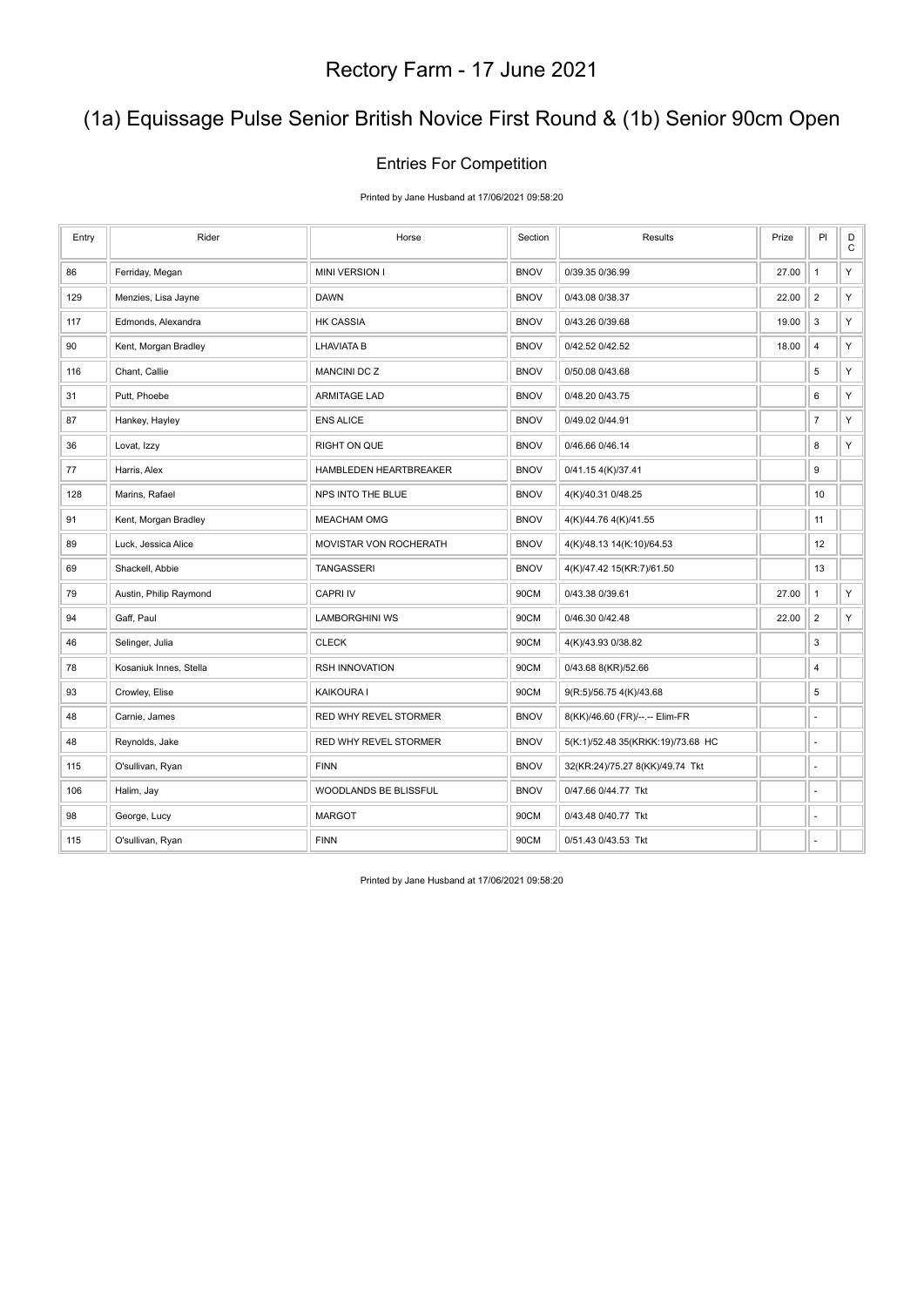### (1a) Equissage Pulse Senior British Novice First Round & (1b) Senior 90cm Open

#### Entries For Competition

Printed by Jane Husband at 17/06/2021 09:58:20

| Entry | Rider                  | Horse                  | Section     | Results                           | Prize | PI             | $_{\rm C}^{\rm D}$ |
|-------|------------------------|------------------------|-------------|-----------------------------------|-------|----------------|--------------------|
| 86    | Ferriday, Megan        | <b>MINI VERSION I</b>  | <b>BNOV</b> | 0/39.35 0/36.99                   | 27.00 | $\mathbf{1}$   | Υ                  |
| 129   | Menzies, Lisa Jayne    | <b>DAWN</b>            | <b>BNOV</b> | 0/43.08 0/38.37                   | 22.00 | $\overline{2}$ | Υ                  |
| 117   | Edmonds, Alexandra     | <b>HK CASSIA</b>       | <b>BNOV</b> | 0/43.26 0/39.68                   | 19.00 | 3              | Υ                  |
| 90    | Kent, Morgan Bradley   | <b>LHAVIATA B</b>      | <b>BNOV</b> | 0/42.52 0/42.52                   | 18.00 | $\overline{4}$ | Y                  |
| 116   | Chant, Callie          | <b>MANCINI DC Z</b>    | <b>BNOV</b> | 0/50.08 0/43.68                   |       | 5              | Υ                  |
| 31    | Putt, Phoebe           | <b>ARMITAGE LAD</b>    | <b>BNOV</b> | 0/48.20 0/43.75                   |       | 6              | Υ                  |
| 87    | Hankey, Hayley         | <b>ENS ALICE</b>       | <b>BNOV</b> | 0/49.02 0/44.91                   |       | $\overline{7}$ | Υ                  |
| 36    | Lovat, Izzy            | RIGHT ON QUE           | <b>BNOV</b> | 0/46.66 0/46.14                   |       | 8              | Υ                  |
| 77    | Harris, Alex           | HAMBLEDEN HEARTBREAKER | <b>BNOV</b> | 0/41.15 4(K)/37.41                |       | 9              |                    |
| 128   | Marins, Rafael         | NPS INTO THE BLUE      | <b>BNOV</b> | 4(K)/40.31 0/48.25                |       | 10             |                    |
| 91    | Kent, Morgan Bradley   | <b>MEACHAM OMG</b>     | <b>BNOV</b> | 4(K)/44.76 4(K)/41.55             |       | 11             |                    |
| 89    | Luck, Jessica Alice    | MOVISTAR VON ROCHERATH | <b>BNOV</b> | 4(K)/48.13 14(K:10)/64.53         |       | 12             |                    |
| 69    | Shackell, Abbie        | <b>TANGASSERI</b>      | <b>BNOV</b> | 4(K)/47.42 15(KR:7)/61.50         |       | 13             |                    |
| 79    | Austin, Philip Raymond | <b>CAPRI IV</b>        | 90CM        | 0/43.38 0/39.61                   | 27.00 | $\mathbf{1}$   | Υ                  |
| 94    | Gaff, Paul             | <b>LAMBORGHINI WS</b>  | 90CM        | 0/46.30 0/42.48                   | 22.00 | $\overline{2}$ | Υ                  |
| 46    | Selinger, Julia        | <b>CLECK</b>           | 90CM        | 4(K)/43.93 0/38.82                |       | 3              |                    |
| 78    | Kosaniuk Innes, Stella | <b>RSH INNOVATION</b>  | 90CM        | 0/43.68 8(KR)/52.66               |       | 4              |                    |
| 93    | Crowley, Elise         | KAIKOURA I             | 90CM        | 9(R:5)/56.75 4(K)/43.68           |       | 5              |                    |
| 48    | Carnie, James          | RED WHY REVEL STORMER  | <b>BNOV</b> | 8(KK)/46.60 (FR)/--.-- Elim-FR    |       | ä,             |                    |
| 48    | Reynolds, Jake         | RED WHY REVEL STORMER  | <b>BNOV</b> | 5(K:1)/52.48 35(KRKK:19)/73.68 HC |       | ÷,             |                    |
| 115   | O'sullivan, Ryan       | <b>FINN</b>            | <b>BNOV</b> | 32(KR:24)/75.27 8(KK)/49.74 Tkt   |       | ÷,             |                    |
| 106   | Halim, Jay             | WOODLANDS BE BLISSFUL  | <b>BNOV</b> | 0/47.66 0/44.77 Tkt               |       | ä,             |                    |
| 98    | George, Lucy           | <b>MARGOT</b>          | 90CM        | 0/43.48 0/40.77 Tkt               |       | ä,             |                    |
| 115   | O'sullivan, Ryan       | <b>FINN</b>            | 90CM        | 0/51.43 0/43.53 Tkt               |       | ä,             |                    |

Printed by Jane Husband at 17/06/2021 09:58:20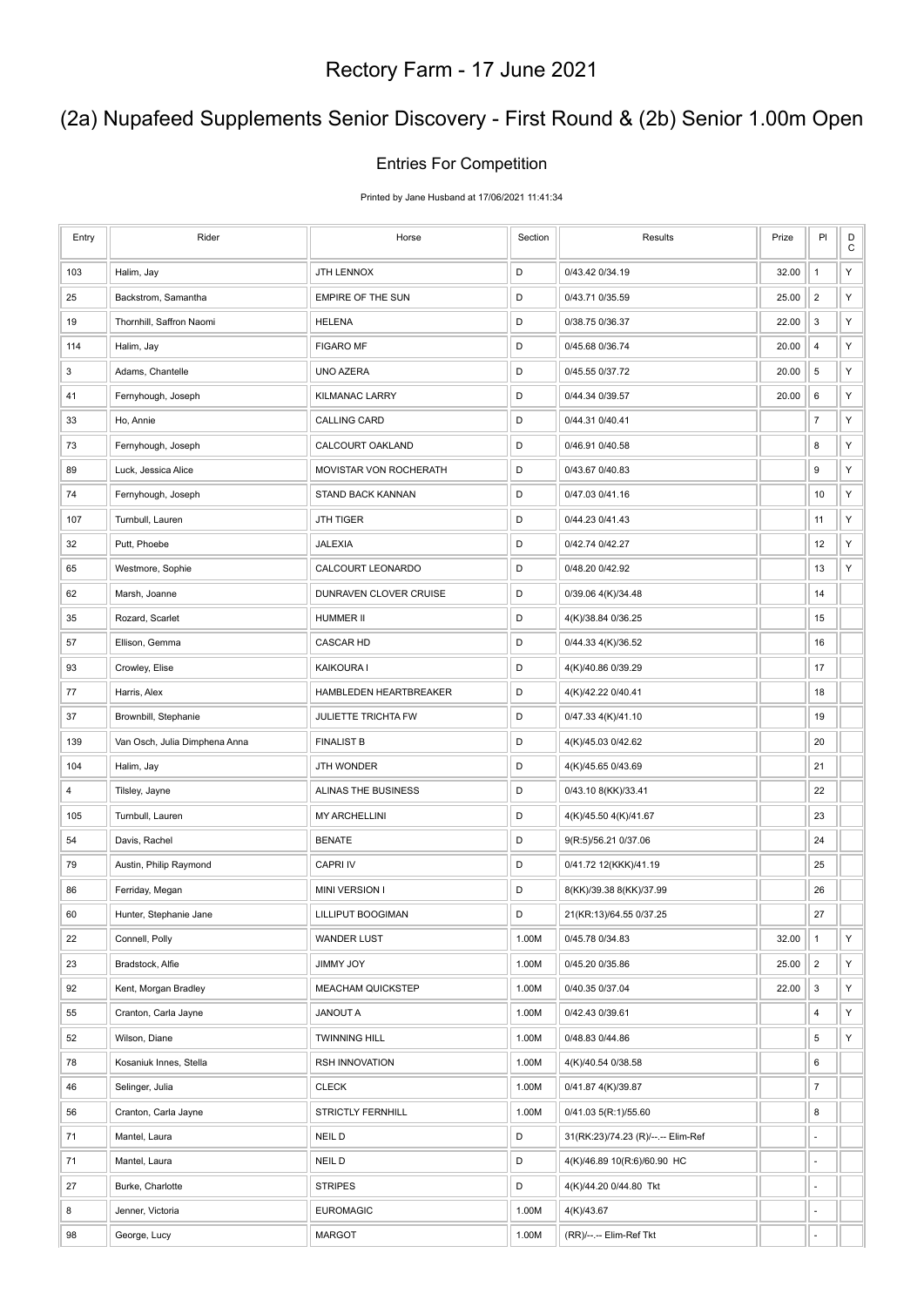### (2a) Nupafeed Supplements Senior Discovery - First Round & (2b) Senior 1.00m Open

#### Entries For Competition

Printed by Jane Husband at 17/06/2021 11:41:34

| Entry | Rider                         | Horse                  | Section | Results                            | Prize | PI                        | D<br>$\mathbf C$ |
|-------|-------------------------------|------------------------|---------|------------------------------------|-------|---------------------------|------------------|
| 103   | Halim, Jay                    | JTH LENNOX             | D       | 0/43.42 0/34.19                    | 32.00 | $\mathbf{1}$              | Y                |
| 25    | Backstrom, Samantha           | EMPIRE OF THE SUN      | D       | 0/43.71 0/35.59                    | 25.00 | $\overline{2}$            | Y                |
| 19    | Thornhill, Saffron Naomi      | <b>HELENA</b>          | D       | 0/38.75 0/36.37                    | 22.00 | 3                         | Y                |
| 114   | Halim, Jay                    | <b>FIGARO MF</b>       | D       | 0/45.68 0/36.74                    | 20.00 | $\overline{4}$            | Y                |
| 3     | Adams, Chantelle              | UNO AZERA              | D       | 0/45.55 0/37.72                    | 20.00 | 5                         | Y                |
| 41    | Fernyhough, Joseph            | <b>KILMANAC LARRY</b>  | D       | 0/44.34 0/39.57                    | 20.00 | 6                         | Y                |
| 33    | Ho, Annie                     | CALLING CARD           | D       | 0/44.31 0/40.41                    |       | $\overline{7}$            | Y                |
| 73    | Fernyhough, Joseph            | CALCOURT OAKLAND       | D       | 0/46.91 0/40.58                    |       | 8                         | Y                |
| 89    | Luck, Jessica Alice           | MOVISTAR VON ROCHERATH | D       | 0/43.67 0/40.83                    |       | $\boldsymbol{9}$          | Y                |
| 74    | Fernyhough, Joseph            | STAND BACK KANNAN      | D       | 0/47.03 0/41.16                    |       | 10                        | Y                |
| 107   | Turnbull, Lauren              | <b>JTH TIGER</b>       | D       | 0/44.23 0/41.43                    |       | 11                        | Y                |
| 32    | Putt, Phoebe                  | <b>JALEXIA</b>         | D       | 0/42.74 0/42.27                    |       | 12                        | Y                |
| 65    | Westmore, Sophie              | CALCOURT LEONARDO      | D       | 0/48.20 0/42.92                    |       | 13                        | Y                |
| 62    | Marsh, Joanne                 | DUNRAVEN CLOVER CRUISE | D       | 0/39.06 4(K)/34.48                 |       | 14                        |                  |
| 35    | Rozard, Scarlet               | <b>HUMMER II</b>       | D       | 4(K)/38.84 0/36.25                 |       | 15                        |                  |
| 57    | Ellison, Gemma                | <b>CASCAR HD</b>       | D       | 0/44.33 4(K)/36.52                 |       | 16                        |                  |
| 93    | Crowley, Elise                | KAIKOURA I             | D       | 4(K)/40.86 0/39.29                 |       | 17                        |                  |
| 77    | Harris, Alex                  | HAMBLEDEN HEARTBREAKER | D       | 4(K)/42.22 0/40.41                 |       | 18                        |                  |
| 37    | Brownbill, Stephanie          | JULIETTE TRICHTA FW    | D       | 0/47.33 4(K)/41.10                 |       | 19                        |                  |
| 139   | Van Osch, Julia Dimphena Anna | <b>FINALIST B</b>      | D       | 4(K)/45.03 0/42.62                 |       | 20                        |                  |
| 104   | Halim, Jay                    | JTH WONDER             | D       | 4(K)/45.65 0/43.69                 |       | 21                        |                  |
| 4     | Tilsley, Jayne                | ALINAS THE BUSINESS    | D       | 0/43.10 8(KK)/33.41                |       | 22                        |                  |
| 105   | Turnbull, Lauren              | <b>MY ARCHELLINI</b>   | D       | 4(K)/45.50 4(K)/41.67              |       | 23                        |                  |
| 54    | Davis, Rachel                 | <b>BENATE</b>          | D       | 9(R:5)/56.21 0/37.06               |       | 24                        |                  |
| 79    | Austin, Philip Raymond        | CAPRI IV               | D       | 0/41.72 12(KKK)/41.19              |       | 25                        |                  |
| 86    | Ferriday, Megan               | MINI VERSION I         | D       | 8(KK)/39.38 8(KK)/37.99            |       | 26                        |                  |
| 60    | Hunter, Stephanie Jane        | LILLIPUT BOOGIMAN      | D       | 21(KR:13)/64.55 0/37.25            |       | 27                        |                  |
| 22    | Connell, Polly                | <b>WANDER LUST</b>     | 1.00M   | 0/45.78 0/34.83                    | 32.00 | $\mathbf{1}$              | Y.               |
| 23    | Bradstock, Alfie              | <b>JIMMY JOY</b>       | 1.00M   | 0/45.20 0/35.86                    | 25.00 | $\overline{c}$            | Y                |
| 92    | Kent, Morgan Bradley          | MEACHAM QUICKSTEP      | 1.00M   | 0/40.35 0/37.04                    | 22.00 | $\ensuremath{\mathsf{3}}$ | Y.               |
| 55    | Cranton, Carla Jayne          | JANOUT A               | 1.00M   | 0/42.43 0/39.61                    |       | 4                         | Y                |
| 52    | Wilson, Diane                 | <b>TWINNING HILL</b>   | 1.00M   | 0/48.83 0/44.86                    |       | $\,$ 5 $\,$               | Y.               |
| 78    | Kosaniuk Innes, Stella        | RSH INNOVATION         | 1.00M   | 4(K)/40.54 0/38.58                 |       | 6                         |                  |
| 46    | Selinger, Julia               | <b>CLECK</b>           | 1.00M   | 0/41.87 4(K)/39.87                 |       | $\boldsymbol{7}$          |                  |
| 56    | Cranton, Carla Jayne          | STRICTLY FERNHILL      | 1.00M   | 0/41.03 5(R:1)/55.60               |       | 8                         |                  |
| 71    | Mantel, Laura                 | NEIL D                 | D       | 31(RK:23)/74.23 (R)/--.-- Elim-Ref |       | ÷,                        |                  |
| 71    | Mantel, Laura                 | NEIL D                 | D       | 4(K)/46.89 10(R:6)/60.90 HC        |       | ÷,                        |                  |
| 27    | Burke, Charlotte              | <b>STRIPES</b>         | D       | 4(K)/44.20 0/44.80 Tkt             |       |                           |                  |
| 8     | Jenner, Victoria              | <b>EUROMAGIC</b>       | 1.00M   | 4(K)/43.67                         |       | ÷,                        |                  |
| 98    | George, Lucy                  | <b>MARGOT</b>          | 1.00M   | (RR)/--.-- Elim-Ref Tkt            |       |                           |                  |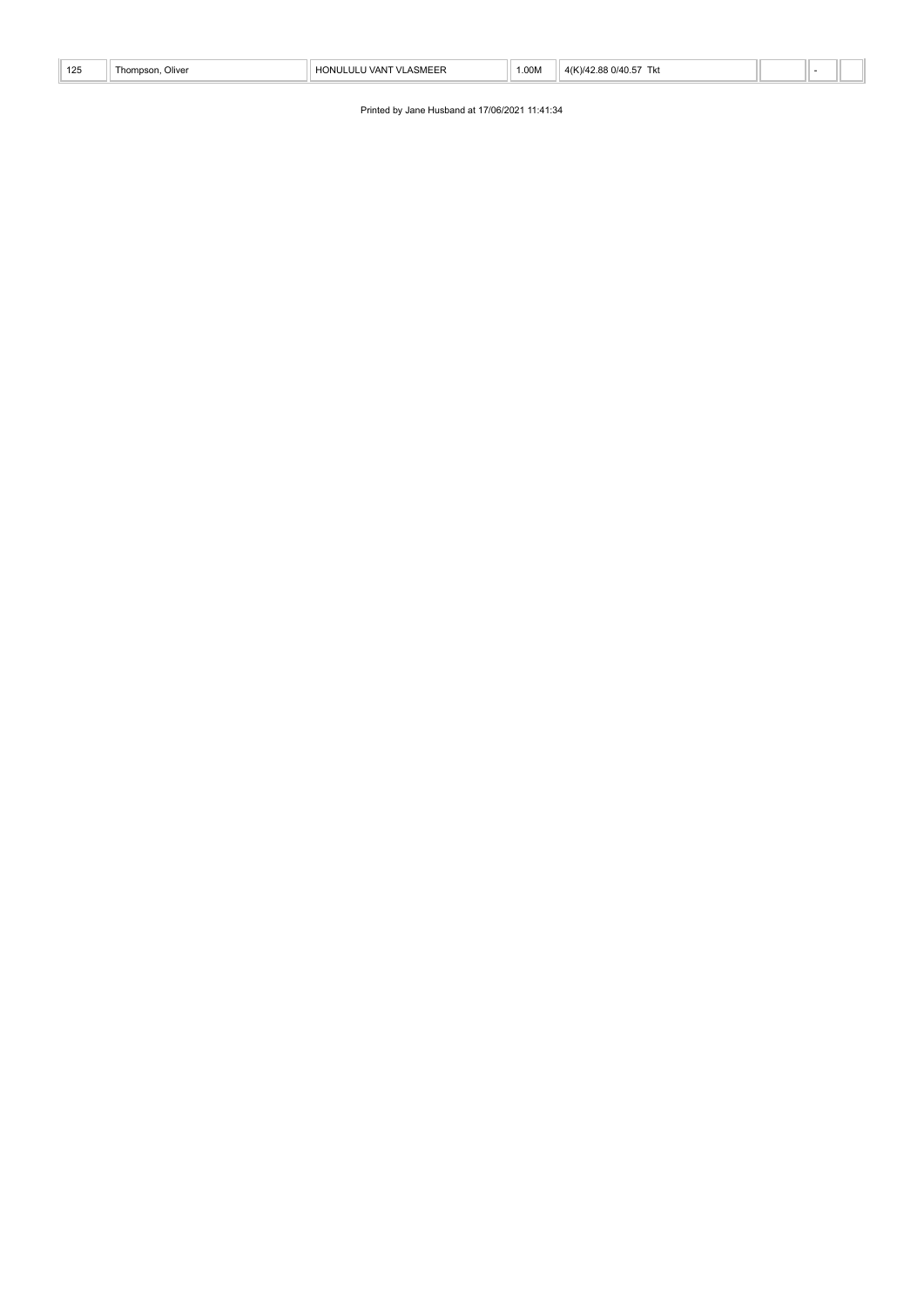| 125 | <b>Thompson, Oliver</b> | <b>VLASMEER</b><br>$\sim$<br>VAN. | 1.00M | (1/42.88 0/40.57<br>4(K)<br>Tkt |  |  |
|-----|-------------------------|-----------------------------------|-------|---------------------------------|--|--|

Printed by Jane Husband at 17/06/2021 11:41:34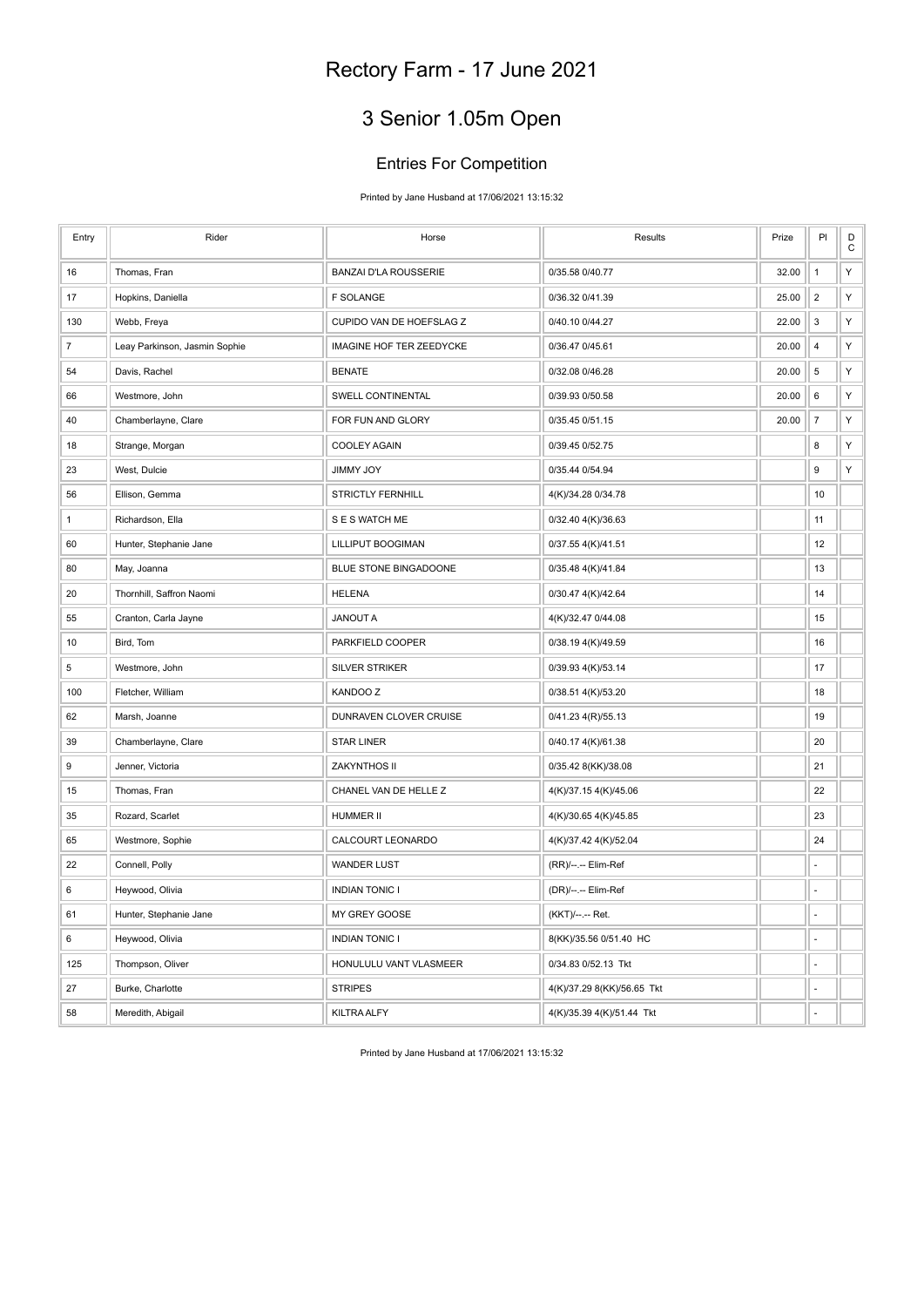### 3 Senior 1.05m Open

#### Entries For Competition

Printed by Jane Husband at 17/06/2021 13:15:32

| Entry          | Rider                         | Horse                           | Results                    | Prize | PI             | D<br>$\mathbf C$ |
|----------------|-------------------------------|---------------------------------|----------------------------|-------|----------------|------------------|
| 16             | Thomas, Fran                  | <b>BANZAI D'LA ROUSSERIE</b>    | 0/35.58 0/40.77            | 32.00 | $\mathbf{1}$   | Υ                |
| 17             | Hopkins, Daniella             | <b>F SOLANGE</b>                | 0/36.32 0/41.39            | 25.00 | $\overline{2}$ | Υ                |
| 130            | Webb, Freya                   | CUPIDO VAN DE HOEFSLAG Z        | 0/40.10 0/44.27            | 22.00 | 3              | Υ                |
| $\overline{7}$ | Leay Parkinson, Jasmin Sophie | <b>IMAGINE HOF TER ZEEDYCKE</b> | 0/36.47 0/45.61            | 20.00 | $\sqrt{4}$     | Υ                |
| 54             | Davis, Rachel                 | <b>BENATE</b>                   | 0/32.08 0/46.28            | 20.00 | 5              | Υ                |
| 66             | Westmore, John                | SWELL CONTINENTAL               | 0/39.93 0/50.58            | 20.00 | 6              | Υ                |
| 40             | Chamberlayne, Clare           | FOR FUN AND GLORY               | 0/35.45 0/51.15            | 20.00 | $\overline{7}$ | Υ                |
| 18             | Strange, Morgan               | COOLEY AGAIN                    | 0/39.45 0/52.75            |       | 8              | Υ                |
| 23             | West, Dulcie                  | JIMMY JOY                       | 0/35.44 0/54.94            |       | 9              | Υ                |
| 56             | Ellison, Gemma                | <b>STRICTLY FERNHILL</b>        | 4(K)/34.28 0/34.78         |       | 10             |                  |
| $\mathbf{1}$   | Richardson, Ella              | S E S WATCH ME                  | 0/32.40 4(K)/36.63         |       | 11             |                  |
| 60             | Hunter, Stephanie Jane        | <b>LILLIPUT BOOGIMAN</b>        | 0/37.55 4(K)/41.51         |       | 12             |                  |
| 80             | May, Joanna                   | BLUE STONE BINGADOONE           | 0/35.48 4(K)/41.84         |       | 13             |                  |
| 20             | Thornhill, Saffron Naomi      | <b>HELENA</b>                   | 0/30.47 4(K)/42.64         |       | 14             |                  |
| 55             | Cranton, Carla Jayne          | <b>JANOUT A</b>                 | 4(K)/32.47 0/44.08         |       | 15             |                  |
| 10             | Bird, Tom                     | PARKFIELD COOPER                | 0/38.19 4(K)/49.59         |       | 16             |                  |
| $\,$ 5 $\,$    | Westmore, John                | <b>SILVER STRIKER</b>           | 0/39.93 4(K)/53.14         |       | 17             |                  |
| 100            | Fletcher, William             | KANDOO Z                        | 0/38.51 4(K)/53.20         |       | 18             |                  |
| 62             | Marsh, Joanne                 | DUNRAVEN CLOVER CRUISE          | 0/41.23 4(R)/55.13         |       | 19             |                  |
| 39             | Chamberlayne, Clare           | <b>STAR LINER</b>               | 0/40.17 4(K)/61.38         |       | 20             |                  |
| 9              | Jenner, Victoria              | ZAKYNTHOS II                    | 0/35.42 8(KK)/38.08        |       | 21             |                  |
| 15             | Thomas, Fran                  | CHANEL VAN DE HELLE Z           | 4(K)/37.15 4(K)/45.06      |       | 22             |                  |
| 35             | Rozard, Scarlet               | <b>HUMMER II</b>                | 4(K)/30.65 4(K)/45.85      |       | 23             |                  |
| 65             | Westmore, Sophie              | CALCOURT LEONARDO               | 4(K)/37.42 4(K)/52.04      |       | 24             |                  |
| 22             | Connell, Polly                | <b>WANDER LUST</b>              | (RR)/--.-- Elim-Ref        |       |                |                  |
| 6              | Heywood, Olivia               | <b>INDIAN TONIC I</b>           | (DR)/--.-- Elim-Ref        |       | ÷,             |                  |
| 61             | Hunter, Stephanie Jane        | MY GREY GOOSE                   | (KKT)/--.-- Ret.           |       | Ĭ.             |                  |
| 6              | Heywood, Olivia               | <b>INDIAN TONIC I</b>           | 8(KK)/35.56 0/51.40 HC     |       | L.             |                  |
| 125            | Thompson, Oliver              | HONULULU VANT VLASMEER          | 0/34.83 0/52.13 Tkt        |       | ÷,             |                  |
| 27             | Burke, Charlotte              | <b>STRIPES</b>                  | 4(K)/37.29 8(KK)/56.65 Tkt |       |                |                  |
| 58             | Meredith, Abigail             | <b>KILTRA ALFY</b>              | 4(K)/35.39 4(K)/51.44 Tkt  |       | L.             |                  |

Printed by Jane Husband at 17/06/2021 13:15:32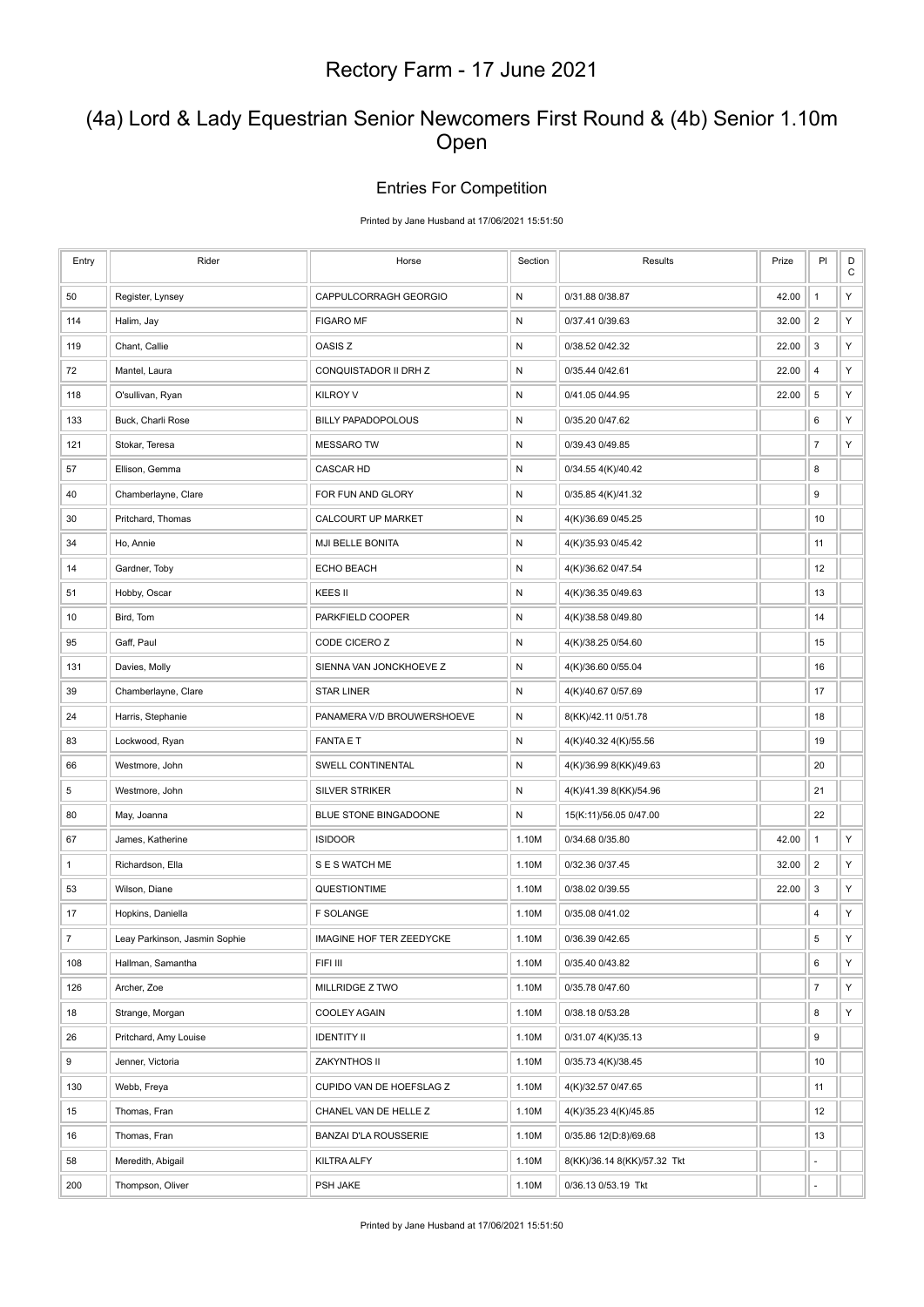### (4a) Lord & Lady Equestrian Senior Newcomers First Round & (4b) Senior 1.10m Open

#### Entries For Competition

Printed by Jane Husband at 17/06/2021 15:51:50

| Entry          | Rider                         | Horse                        | Section   | Results                     | Prize | PI               | D<br>${\bf C}$ |
|----------------|-------------------------------|------------------------------|-----------|-----------------------------|-------|------------------|----------------|
| 50             | Register, Lynsey              | CAPPULCORRAGH GEORGIO        | ${\sf N}$ | 0/31.88 0/38.87             | 42.00 | $\mathbf{1}$     | Υ              |
| 114            | Halim, Jay                    | <b>FIGARO MF</b>             | N         | 0/37.41 0/39.63             | 32.00 | $\overline{2}$   | Υ              |
| 119            | Chant, Callie                 | OASIS <sub>Z</sub>           | N         | 0/38.52 0/42.32             | 22.00 | 3                | Υ              |
| 72             | Mantel, Laura                 | CONQUISTADOR II DRH Z        | N         | 0/35.44 0/42.61             | 22.00 | $\overline{4}$   | Υ              |
| 118            | O'sullivan, Ryan              | <b>KILROY V</b>              | ${\sf N}$ | 0/41.05 0/44.95             | 22.00 | $\,$ 5 $\,$      | Υ              |
| 133            | Buck, Charli Rose             | <b>BILLY PAPADOPOLOUS</b>    | N         | 0/35.20 0/47.62             |       | 6                | Υ              |
| 121            | Stokar, Teresa                | <b>MESSARO TW</b>            | N         | 0/39.43 0/49.85             |       | $\boldsymbol{7}$ | Υ              |
| 57             | Ellison, Gemma                | CASCAR HD                    | N         | 0/34.55 4(K)/40.42          |       | 8                |                |
| 40             | Chamberlayne, Clare           | FOR FUN AND GLORY            | ${\sf N}$ | 0/35.85 4(K)/41.32          |       | 9                |                |
| 30             | Pritchard, Thomas             | <b>CALCOURT UP MARKET</b>    | N         | 4(K)/36.69 0/45.25          |       | 10               |                |
| 34             | Ho, Annie                     | MJI BELLE BONITA             | ${\sf N}$ | 4(K)/35.93 0/45.42          |       | 11               |                |
| 14             | Gardner, Toby                 | ECHO BEACH                   | N         | 4(K)/36.62 0/47.54          |       | 12               |                |
| 51             | Hobby, Oscar                  | KEES II                      | N         | 4(K)/36.35 0/49.63          |       | 13               |                |
| 10             | Bird, Tom                     | PARKFIELD COOPER             | N         | 4(K)/38.58 0/49.80          |       | 14               |                |
| 95             | Gaff, Paul                    | CODE CICERO Z                | N         | 4(K)/38.25 0/54.60          |       | 15               |                |
| 131            | Davies, Molly                 | SIENNA VAN JONCKHOEVE Z      | N         | 4(K)/36.60 0/55.04          |       | 16               |                |
| 39             | Chamberlayne, Clare           | <b>STAR LINER</b>            | N         | 4(K)/40.67 0/57.69          |       | 17               |                |
| 24             | Harris, Stephanie             | PANAMERA V/D BROUWERSHOEVE   | N         | 8(KK)/42.11 0/51.78         |       | 18               |                |
| 83             | Lockwood, Ryan                | <b>FANTA E T</b>             | N         | 4(K)/40.32 4(K)/55.56       |       | 19               |                |
| 66             | Westmore, John                | SWELL CONTINENTAL            | N         | 4(K)/36.99 8(KK)/49.63      |       | 20               |                |
| 5              | Westmore, John                | <b>SILVER STRIKER</b>        | N         | 4(K)/41.39 8(KK)/54.96      |       | 21               |                |
| 80             | May, Joanna                   | BLUE STONE BINGADOONE        | ${\sf N}$ | 15(K:11)/56.05 0/47.00      |       | 22               |                |
| 67             | James, Katherine              | <b>ISIDOOR</b>               | 1.10M     | 0/34.68 0/35.80             | 42.00 | $\mathbf{1}$     | Υ              |
| $\mathbf{1}$   | Richardson, Ella              | S E S WATCH ME               | 1.10M     | 0/32.36 0/37.45             | 32.00 | $\overline{2}$   | Υ              |
| 53             | Wilson, Diane                 | QUESTIONTIME                 | 1.10M     | 0/38.02 0/39.55             | 22.00 | 3                | Υ              |
| 17             | Hopkins, Daniella             | <b>F SOLANGE</b>             | 1.10M     | 0/35.08 0/41.02             |       | 4                | Υ              |
| $\overline{7}$ | Leay Parkinson, Jasmin Sophie | IMAGINE HOF TER ZEEDYCKE     | 1.10M     | 0/36.39 0/42.65             |       | 5                | Υ              |
| 108            | Hallman, Samantha             | FIFI III                     | 1.10M     | 0/35.40 0/43.82             |       | 6                | Υ              |
| 126            | Archer, Zoe                   | MILLRIDGE Z TWO              | 1.10M     | 0/35.78 0/47.60             |       | $\overline{7}$   | Y              |
| 18             | Strange, Morgan               | COOLEY AGAIN                 | 1.10M     | 0/38.18 0/53.28             |       | 8                | Υ              |
| 26             | Pritchard, Amy Louise         | <b>IDENTITY II</b>           | 1.10M     | 0/31.07 4(K)/35.13          |       | 9                |                |
| 9              | Jenner, Victoria              | ZAKYNTHOS II                 | 1.10M     | 0/35.73 4(K)/38.45          |       | 10               |                |
| 130            | Webb, Freya                   | CUPIDO VAN DE HOEFSLAG Z     | 1.10M     | 4(K)/32.57 0/47.65          |       | 11               |                |
| 15             | Thomas, Fran                  | CHANEL VAN DE HELLE Z        | 1.10M     | 4(K)/35.23 4(K)/45.85       |       | 12               |                |
| 16             | Thomas, Fran                  | <b>BANZAI D'LA ROUSSERIE</b> | 1.10M     | 0/35.86 12(D:8)/69.68       |       | 13               |                |
| 58             | Meredith, Abigail             | <b>KILTRA ALFY</b>           | 1.10M     | 8(KK)/36.14 8(KK)/57.32 Tkt |       | ÷,               |                |
| 200            | Thompson, Oliver              | PSH JAKE                     | 1.10M     | 0/36.13 0/53.19 Tkt         |       |                  |                |

Printed by Jane Husband at 17/06/2021 15:51:50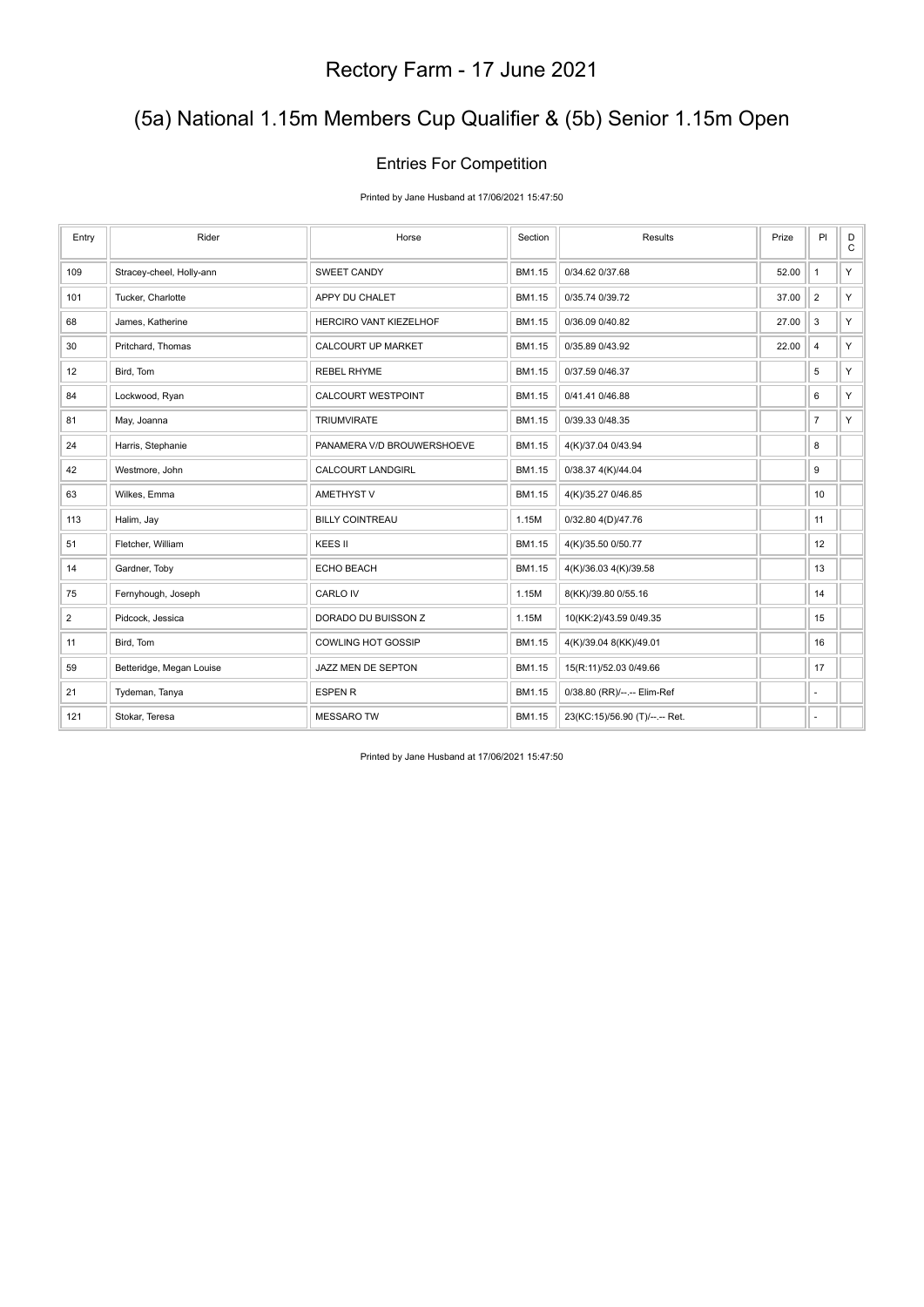### (5a) National 1.15m Members Cup Qualifier & (5b) Senior 1.15m Open

#### Entries For Competition

Printed by Jane Husband at 17/06/2021 15:47:50

| Entry          | Rider                    | Horse                         | Section | Results                        | Prize | PI             | D<br>$\mathtt{C}$ |
|----------------|--------------------------|-------------------------------|---------|--------------------------------|-------|----------------|-------------------|
| 109            | Stracey-cheel, Holly-ann | SWEET CANDY                   | BM1.15  | 0/34.62 0/37.68                | 52.00 | $\mathbf{1}$   | Y.                |
| 101            | Tucker, Charlotte        | APPY DU CHALET                | BM1.15  | 0/35.74 0/39.72                | 37.00 | $\overline{2}$ | Y                 |
| 68             | James, Katherine         | <b>HERCIRO VANT KIEZELHOF</b> | BM1.15  | 0/36.09 0/40.82                | 27.00 | 3              | Y                 |
| 30             | Pritchard, Thomas        | <b>CALCOURT UP MARKET</b>     | BM1.15  | 0/35.89 0/43.92                | 22.00 | 4              | Y                 |
| 12             | Bird, Tom                | <b>REBEL RHYME</b>            | BM1.15  | 0/37.59 0/46.37                |       | $\,$ 5 $\,$    | Y                 |
| 84             | Lockwood, Ryan           | CALCOURT WESTPOINT            | BM1.15  | 0/41.41 0/46.88                |       | 6              | Y                 |
| 81             | May, Joanna              | <b>TRIUMVIRATE</b>            | BM1.15  | 0/39.33 0/48.35                |       | $\overline{7}$ | Y.                |
| 24             | Harris, Stephanie        | PANAMERA V/D BROUWERSHOEVE    | BM1.15  | 4(K)/37.04 0/43.94             |       | 8              |                   |
| 42             | Westmore, John           | CALCOURT LANDGIRL             | BM1.15  | 0/38.37 4(K)/44.04             |       | 9              |                   |
| 63             | Wilkes, Emma             | AMETHYST V                    | BM1.15  | 4(K)/35.27 0/46.85             |       | 10             |                   |
| 113            | Halim, Jay               | <b>BILLY COINTREAU</b>        | 1.15M   | 0/32.80 4(D)/47.76             |       | 11             |                   |
| 51             | Fletcher, William        | KEES II                       | BM1.15  | 4(K)/35.50 0/50.77             |       | 12             |                   |
| 14             | Gardner, Toby            | ECHO BEACH                    | BM1.15  | 4(K)/36.03 4(K)/39.58          |       | 13             |                   |
| 75             | Fernyhough, Joseph       | CARLO IV                      | 1.15M   | 8(KK)/39.80 0/55.16            |       | 14             |                   |
| $\overline{2}$ | Pidcock, Jessica         | DORADO DU BUISSON Z           | 1.15M   | 10(KK:2)/43.59 0/49.35         |       | 15             |                   |
| 11             | Bird, Tom                | <b>COWLING HOT GOSSIP</b>     | BM1.15  | 4(K)/39.04 8(KK)/49.01         |       | 16             |                   |
| 59             | Betteridge, Megan Louise | JAZZ MEN DE SEPTON            | BM1.15  | 15(R:11)/52.03 0/49.66         |       | 17             |                   |
| 21             | Tydeman, Tanya           | <b>ESPENR</b>                 | BM1.15  | 0/38.80 (RR)/--.-- Elim-Ref    |       | ٠              |                   |
| 121            | Stokar, Teresa           | <b>MESSARO TW</b>             | BM1.15  | 23(KC:15)/56.90 (T)/--.-- Ret. |       |                |                   |

Printed by Jane Husband at 17/06/2021 15:47:50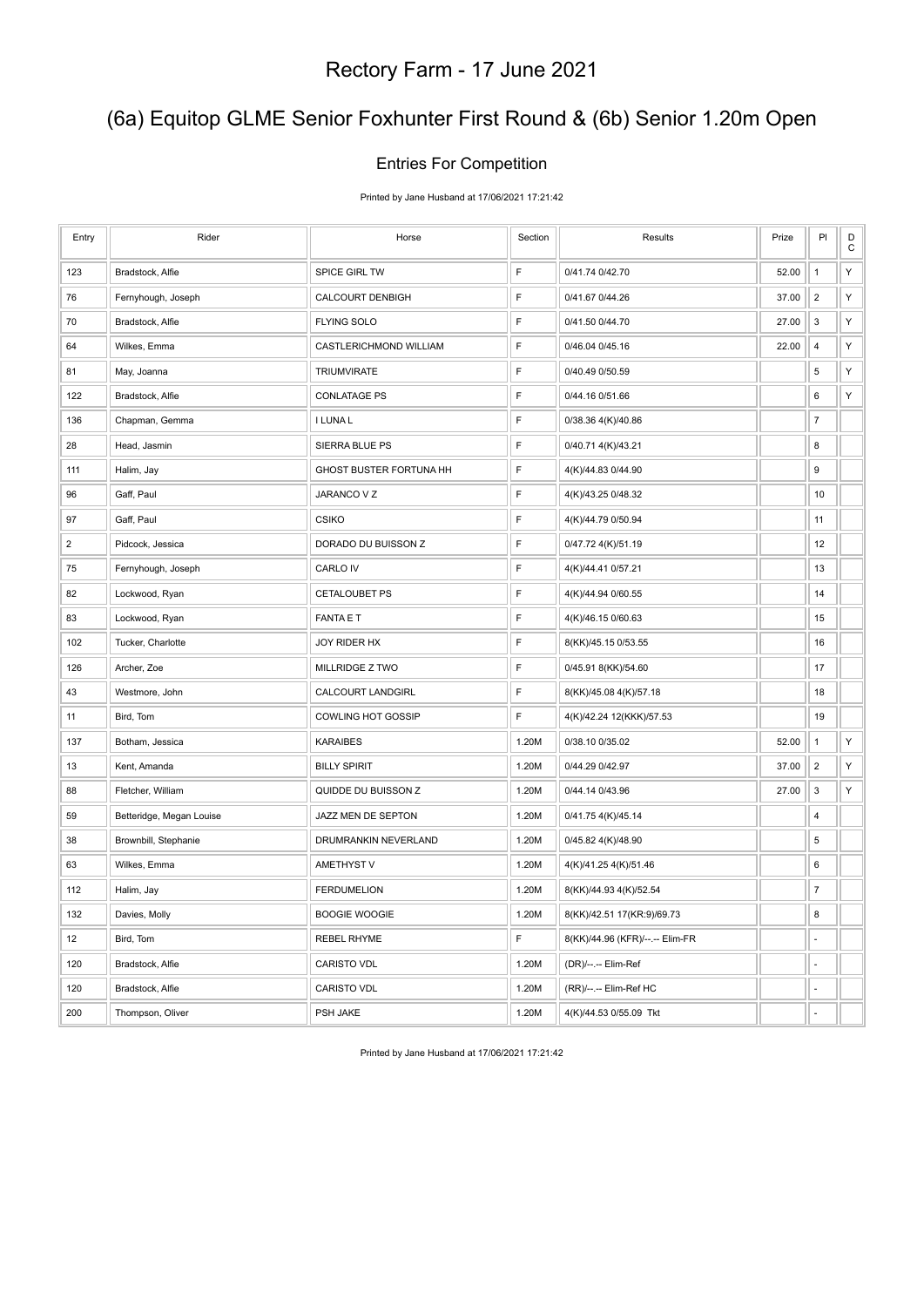### (6a) Equitop GLME Senior Foxhunter First Round & (6b) Senior 1.20m Open

#### Entries For Competition

Printed by Jane Husband at 17/06/2021 17:21:42

| Entry          | Rider                    | Horse                    | Section      | Results                         | Prize | PI                       | D<br>$\mathtt{C}$ |
|----------------|--------------------------|--------------------------|--------------|---------------------------------|-------|--------------------------|-------------------|
| 123            | Bradstock, Alfie         | SPICE GIRL TW            | F            | 0/41.74 0/42.70                 | 52.00 | $\mathbf{1}$             | Υ                 |
| 76             | Fernyhough, Joseph       | <b>CALCOURT DENBIGH</b>  | F            | 0/41.67 0/44.26                 | 37.00 | $\overline{2}$           | Υ                 |
| 70             | Bradstock, Alfie         | <b>FLYING SOLO</b>       | F            | 0/41.50 0/44.70                 | 27.00 | 3                        | Υ                 |
| 64             | Wilkes, Emma             | CASTLERICHMOND WILLIAM   | $\mathsf F$  | 0/46.04 0/45.16                 | 22.00 | $\overline{4}$           | Υ                 |
| 81             | May, Joanna              | <b>TRIUMVIRATE</b>       | F            | 0/40.49 0/50.59                 |       | 5                        | Υ                 |
| 122            | Bradstock, Alfie         | <b>CONLATAGE PS</b>      | F            | 0/44.16 0/51.66                 |       | 6                        | Υ                 |
| 136            | Chapman, Gemma           | <b>I LUNAL</b>           | F            | 0/38.36 4(K)/40.86              |       | $\overline{7}$           |                   |
| 28             | Head, Jasmin             | SIERRA BLUE PS           | F            | 0/40.71 4(K)/43.21              |       | 8                        |                   |
| 111            | Halim, Jay               | GHOST BUSTER FORTUNA HH  | F            | 4(K)/44.83 0/44.90              |       | 9                        |                   |
| 96             | Gaff, Paul               | JARANCO V Z              | $\mathsf{F}$ | 4(K)/43.25 0/48.32              |       | 10                       |                   |
| 97             | Gaff, Paul               | <b>CSIKO</b>             | $\mathsf F$  | 4(K)/44.79 0/50.94              |       | 11                       |                   |
| $\overline{2}$ | Pidcock, Jessica         | DORADO DU BUISSON Z      | F            | 0/47.72 4(K)/51.19              |       | 12                       |                   |
| 75             | Fernyhough, Joseph       | CARLO IV                 | F            | 4(K)/44.41 0/57.21              |       | 13                       |                   |
| 82             | Lockwood, Ryan           | <b>CETALOUBET PS</b>     | F            | 4(K)/44.94 0/60.55              |       | 14                       |                   |
| 83             | Lockwood, Ryan           | <b>FANTA E T</b>         | $\mathsf F$  | 4(K)/46.15 0/60.63              |       | 15                       |                   |
| 102            | Tucker, Charlotte        | JOY RIDER HX             | F            | 8(KK)/45.15 0/53.55             |       | 16                       |                   |
| 126            | Archer, Zoe              | MILLRIDGE Z TWO          | F            | 0/45.91 8(KK)/54.60             |       | 17                       |                   |
| 43             | Westmore, John           | <b>CALCOURT LANDGIRL</b> | F            | 8(KK)/45.08 4(K)/57.18          |       | 18                       |                   |
| 11             | Bird, Tom                | COWLING HOT GOSSIP       | F            | 4(K)/42.24 12(KKK)/57.53        |       | 19                       |                   |
| 137            | Botham, Jessica          | <b>KARAIBES</b>          | 1.20M        | 0/38.10 0/35.02                 | 52.00 | $\mathbf{1}$             | Υ                 |
| 13             | Kent, Amanda             | <b>BILLY SPIRIT</b>      | 1.20M        | 0/44.29 0/42.97                 | 37.00 | $\overline{2}$           | Υ                 |
| 88             | Fletcher, William        | QUIDDE DU BUISSON Z      | 1.20M        | 0/44.14 0/43.96                 | 27.00 | $\mathsf 3$              | Υ                 |
| 59             | Betteridge, Megan Louise | JAZZ MEN DE SEPTON       | 1.20M        | 0/41.75 4(K)/45.14              |       | $\sqrt{4}$               |                   |
| 38             | Brownbill, Stephanie     | DRUMRANKIN NEVERLAND     | 1.20M        | 0/45.82 4(K)/48.90              |       | 5                        |                   |
| 63             | Wilkes, Emma             | AMETHYST V               | 1.20M        | 4(K)/41.25 4(K)/51.46           |       | 6                        |                   |
| 112            | Halim, Jay               | <b>FERDUMELION</b>       | 1.20M        | 8(KK)/44.93 4(K)/52.54          |       | $\overline{\mathcal{I}}$ |                   |
| 132            | Davies, Molly            | <b>BOOGIE WOOGIE</b>     | 1.20M        | 8(KK)/42.51 17(KR:9)/69.73      |       | 8                        |                   |
| 12             | Bird, Tom                | <b>REBEL RHYME</b>       | F            | 8(KK)/44.96 (KFR)/--.-- Elim-FR |       | l,                       |                   |
| 120            | Bradstock, Alfie         | <b>CARISTO VDL</b>       | 1.20M        | (DR)/--.-- Elim-Ref             |       | l,                       |                   |
| 120            | Bradstock, Alfie         | <b>CARISTO VDL</b>       | 1.20M        | (RR)/--.-- Elim-Ref HC          |       | ÷.                       |                   |
| 200            | Thompson, Oliver         | PSH JAKE                 | 1.20M        | 4(K)/44.53 0/55.09 Tkt          |       | ÷.                       |                   |

Printed by Jane Husband at 17/06/2021 17:21:42